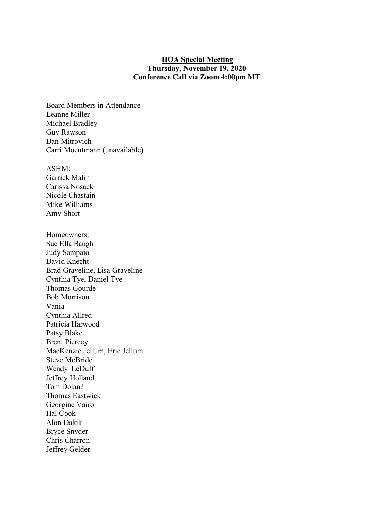## **HOA Special Meeting Thursday, November 19, 2020 Conference Call via Zoom 4:00pm MT**

Board Members in Attendance Leanne Miller Michael Bradley Guy Rawson Dan Mitrovich Carri Moentmann (unavailable)

ASHM: Garrick Malin Carissa Nosack Nicole Chastain Mike Williams Amy Short

Homeowners: Sue Ella Baugh Judy Sampaio David Knecht Brad Graveline, Lisa Graveline Cynthia Tye, Daniel Tye Thomas Gourde Bob Morrison Vania Cynthia Allred Patricia Harwood Patsy Blake Brent Piercey MacKenzie Jellum, Eric Jellum Steve McBride Wendy LeDuff Jeffrey Holland Tom Dolan? Thomas Eastwick Georgine Vairo Hal Cook Alon Dakik Bryce Snyder Chris Charron Jeffrey Gelder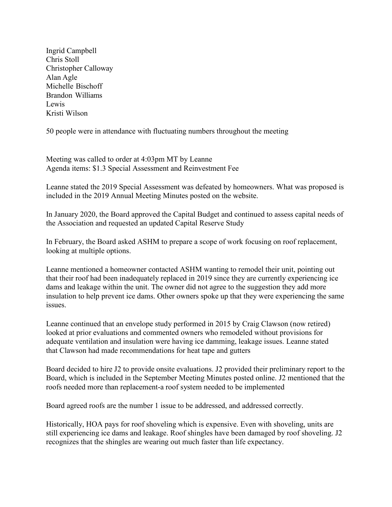Ingrid Campbell Chris Stoll Christopher Calloway Alan Agle Michelle Bischoff Brandon Williams Lewis Kristi Wilson

50 people were in attendance with fluctuating numbers throughout the meeting

Meeting was called to order at 4:03pm MT by Leanne Agenda items: \$1.3 Special Assessment and Reinvestment Fee

Leanne stated the 2019 Special Assessment was defeated by homeowners. What was proposed is included in the 2019 Annual Meeting Minutes posted on the website.

In January 2020, the Board approved the Capital Budget and continued to assess capital needs of the Association and requested an updated Capital Reserve Study

In February, the Board asked ASHM to prepare a scope of work focusing on roof replacement, looking at multiple options.

Leanne mentioned a homeowner contacted ASHM wanting to remodel their unit, pointing out that their roof had been inadequately replaced in 2019 since they are currently experiencing ice dams and leakage within the unit. The owner did not agree to the suggestion they add more insulation to help prevent ice dams. Other owners spoke up that they were experiencing the same issues.

Leanne continued that an envelope study performed in 2015 by Craig Clawson (now retired) looked at prior evaluations and commented owners who remodeled without provisions for adequate ventilation and insulation were having ice damming, leakage issues. Leanne stated that Clawson had made recommendations for heat tape and gutters

Board decided to hire J2 to provide onsite evaluations. J2 provided their preliminary report to the Board, which is included in the September Meeting Minutes posted online. J2 mentioned that the roofs needed more than replacement-a roof system needed to be implemented

Board agreed roofs are the number 1 issue to be addressed, and addressed correctly.

Historically, HOA pays for roof shoveling which is expensive. Even with shoveling, units are still experiencing ice dams and leakage. Roof shingles have been damaged by roof shoveling. J2 recognizes that the shingles are wearing out much faster than life expectancy.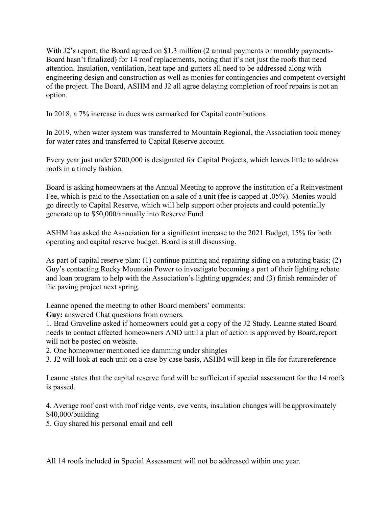With J2's report, the Board agreed on \$1.3 million (2 annual payments or monthly payments-Board hasn't finalized) for 14 roof replacements, noting that it's not just the roofs that need attention. Insulation, ventilation, heat tape and gutters all need to be addressed along with engineering design and construction as well as monies for contingencies and competent oversight of the project. The Board, ASHM and J2 all agree delaying completion of roof repairs is not an option.

In 2018, a 7% increase in dues was earmarked for Capital contributions

In 2019, when water system was transferred to Mountain Regional, the Association took money for water rates and transferred to Capital Reserve account.

Every year just under \$200,000 is designated for Capital Projects, which leaves little to address roofs in a timely fashion.

Board is asking homeowners at the Annual Meeting to approve the institution of a Reinvestment Fee, which is paid to the Association on a sale of a unit (fee is capped at .05%). Monies would go directly to Capital Reserve, which will help support other projects and could potentially generate up to \$50,000/annually into Reserve Fund

ASHM has asked the Association for a significant increase to the 2021 Budget, 15% for both operating and capital reserve budget. Board is still discussing.

As part of capital reserve plan: (1) continue painting and repairing siding on a rotating basis; (2) Guy's contacting Rocky Mountain Power to investigate becoming a part of their lighting rebate and loan program to help with the Association's lighting upgrades; and (3) finish remainder of the paving project next spring.

Leanne opened the meeting to other Board members' comments:

**Guy:** answered Chat questions from owners.

1. Brad Graveline asked if homeowners could get a copy of the J2 Study. Leanne stated Board needs to contact affected homeowners AND until a plan of action is approved by Board,report will not be posted on website.

2. One homeowner mentioned ice damming under shingles

3. J2 will look at each unit on a case by case basis, ASHM will keep in file for futurereference

Leanne states that the capital reserve fund will be sufficient if special assessment for the 14 roofs is passed.

4. Average roof cost with roof ridge vents, eve vents, insulation changes will be approximately \$40,000/building

5. Guy shared his personal email and cell

All 14 roofs included in Special Assessment will not be addressed within one year.